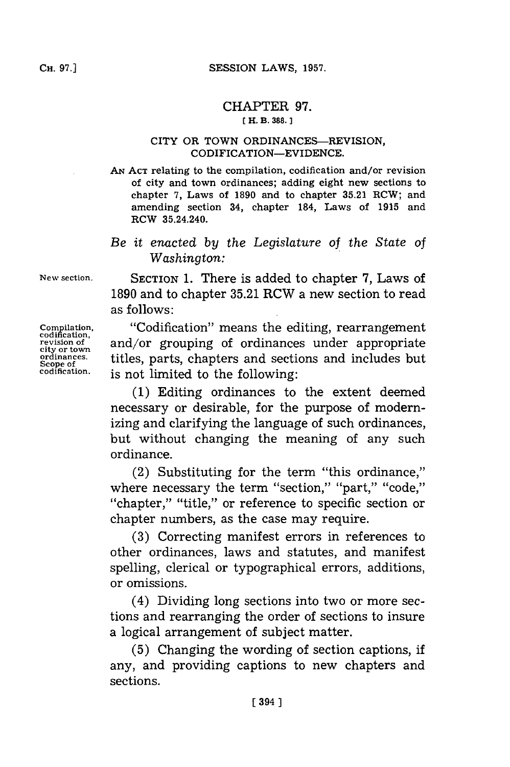## CHAPTER **97.**

## **[ H. B. 388.]1**

## CITY OR TOWN ORDINANCES-REVISION, CODIFICATION-EVIDENCE.

**AN ACT** relating to the compilation, codification and/or revision of city and town ordinances; adding eight new sections to chapter **7,** Laws of **1890** and to chapter **35.21** RCW; and amending section 34, chapter 184, Laws of **1915** and ROW 35.24.240.

## *Be it ernacted by the Legislature of the State of Washington:*

**New section.** SECTION **1.** There is added to chapter **7,** Laws of **1890** and to chapter **35.21** RCW a new section to read as follows:

**Compilation, "Codification" means the editing, rearrangement**<br> **codification**, and/or grouping of ordinances under appropriate **revision of** and/or grouping of ordinances under appropriate eity or town<br> **city or town**<br> **crimances** titles parts chapters and sections and includes but ordinances. **titles, parts, chapters and sections and includes but** Scope of **state** codification. **is not limited to the following:** is not limited to the following:

> **(1)** Editing ordinances to the extent deemed necessary or desirable, for the purpose of modernizing and clarifying the language of such ordinances, but without changing the meaning of any such ordinance.

> (2) Substituting for the term "this ordinance," where necessary the term "section," "part," "code," "chapter," "title," or reference to specific section or chapter numbers, as the case may require.

> **(3)** Correcting manifest errors in references to other ordinances, laws and statutes, and manifest spelling, clerical or typographical errors, additions, or omissions.

> (4) Dividing long sections into two or more sections and rearranging the order of sections to insure a logical arrangement of subject matter.

> **(5)** Changing the wording of section captions, if any, and providing captions to new chapters and sections.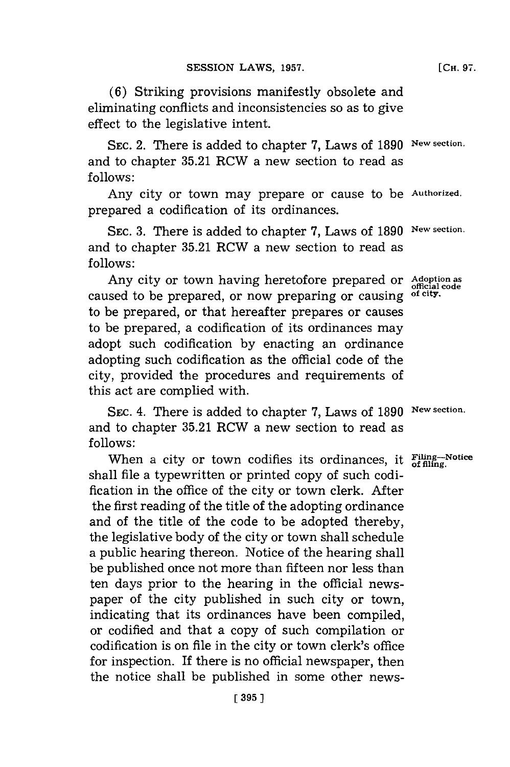**(6)** Striking provisions manifestly obsolete and eliminating conflicts and inconsistencies so as to give effect to the legislative intent.

SEC. 2. There is added to chapter 7, Laws of 1890 New section. and to chapter **35.21** RCW a new section to read as **follows:**

Any city or town may prepare or cause to be **Authorized.** prepared a codification of its ordinances.

SEC. 3. There is added to chapter 7, Laws of 1890 New section. and to chapter **35.21** RCW a new section to read as **follows:**

Any city or town having heretofore prepared or Adoption as caused to be prepared, or now preparing or causing **of city.** to be prepared, or that hereafter prepares or causes to be prepared, a codification of its ordinances may adopt such codification **by** enacting an ordinance adopting such codification as the official code of the city, provided the procedures and requirements of this act are complied with.

SEc. 4. There is added to chapter **7,** Laws of **1890 New section.** and to chapter **35.21** RCW a new section to read as **follows:**

When a city or town codifies its ordinances, it  $\frac{\text{Filing}}{\text{of filing}}$ . Notice shall file a typewritten or printed copy of such codification in the office of the city or town clerk. After the first reading of the title of the adopting ordinance and of the title of the code to be adopted thereby, the legislative body of the city or town shall schedule a public hearing thereon. Notice of the hearing shall be published once not more than fifteen nor less than ten days prior to the hearing in the official newspaper of the city published in such city or town, indicating that its ordinances have been compiled, or codified and that a copy of such compilation or codification is on file in the city or town clerk's office for inspection. If there is no official newspaper, then the notice shall be published in some other news-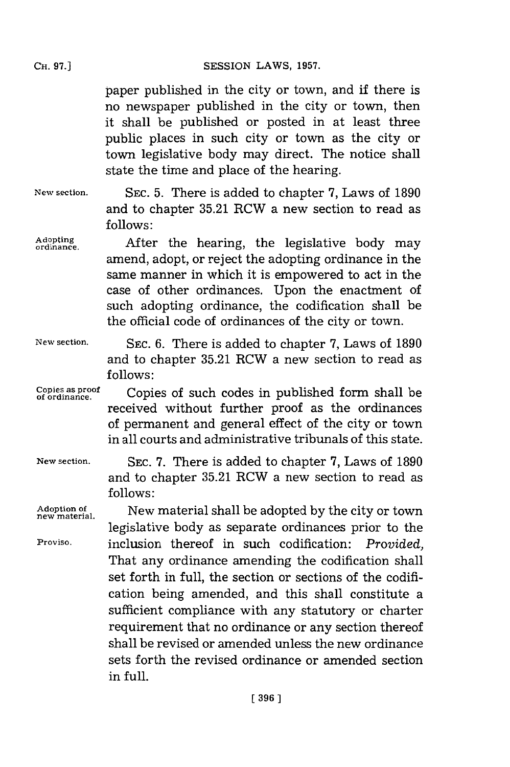paper published in the city or town, and if there is no newspaper published in the city or town, then it shall be published or posted in at least three public places in such city or town as the city or town legislative body may direct. The notice shall state the time and place of the hearing.

**New section.** SEC. **5.** There is added to chapter **7,** Laws of **1890** and to chapter **35.21** RCW a new section to read as **follows:**

Adopting **After** the hearing, the legislative body may amend, adopt, or reject the adopting ordinance in the same manner in which it is empowered to act in the case of other ordinances. Upon the enactment of such adopting ordinance, the codification shall be the official code of ordinances of the city or town.

**New section.**

**SEC. 6.** There is added to chapter **7,** Laws of **1890** and to chapter **35.21** RCW a new section to read as **follows:**

**Copies as proof of ordinance.** Copies of such codes in published form shall be received without further proof as the ordinances of permanent and general effect of the city or town in all courts and administrative tribunals of this state.

**New section.**

**Adoption of**

**Proviso.**

**SEC. 7.** There is added to chapter **7,** Laws of **1890** and to chapter **35.21** RCW a new section to read as **follows:**

**new material.** New material shall be adopted **by** the city or town legislative body as separate ordinances prior to the inclusion thereof in such codification: *Provided,* That any ordinance amending the codification shall set forth in full, the section or sections of the codification being amended, and this shall constitute a sufficient compliance with any statutory or charter requirement that no ordinance or any section thereof shall be revised or amended unless the new ordinance sets forth the revised ordinance or amended section in full.